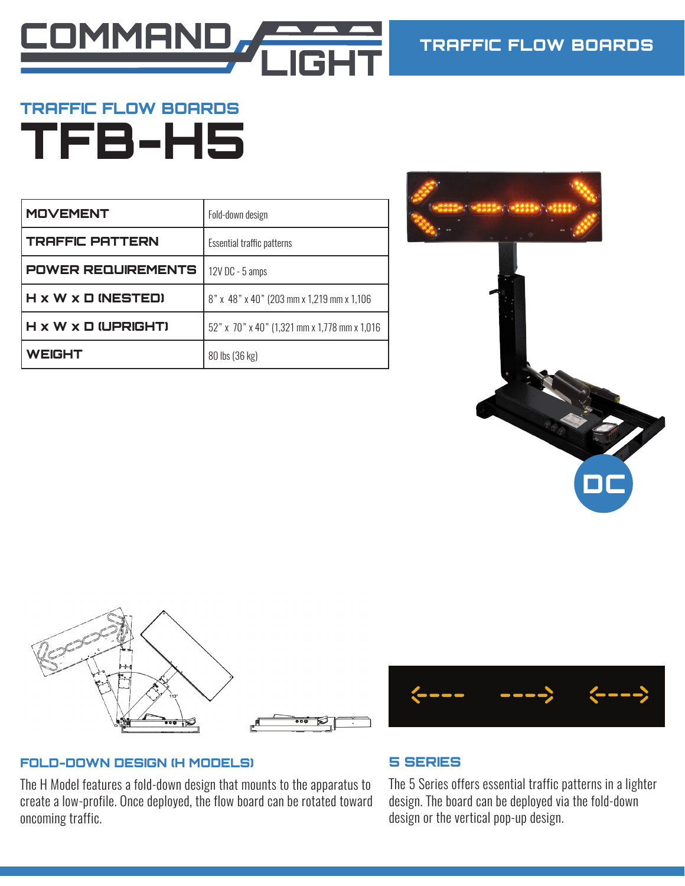

# TRAFFIC FLOW BOARDS TFB-H5

| <b>MOVEMENT</b>           | Fold-down design                              |
|---------------------------|-----------------------------------------------|
| <b>TRAFFIC PATTERN</b>    | Essential traffic patterns                    |
| <b>POWER REQUIREMENTS</b> | 12V DC - 5 amps                               |
| H x W x D (NESTED)        | 8" x 48" x 40" (203 mm x 1,219 mm x 1,106)    |
| H x W x D (UPRIGHT)       | 52" x 70" x 40" (1,321 mm x 1,778 mm x 1,016) |
| <b>WEIGHT</b>             | 80 lbs (36 kg)                                |





### FOLD-DOWN DESIGN (H MODELS)

The H Model features a fold-down design that mounts to the apparatus to create a low-profile. Once deployed, the flow board can be rotated toward oncoming traffic.



## 5 SERIES

The 5 Series offers essential traffic patterns in a lighter design. The board can be deployed via the fold-down design or the vertical pop-up design.